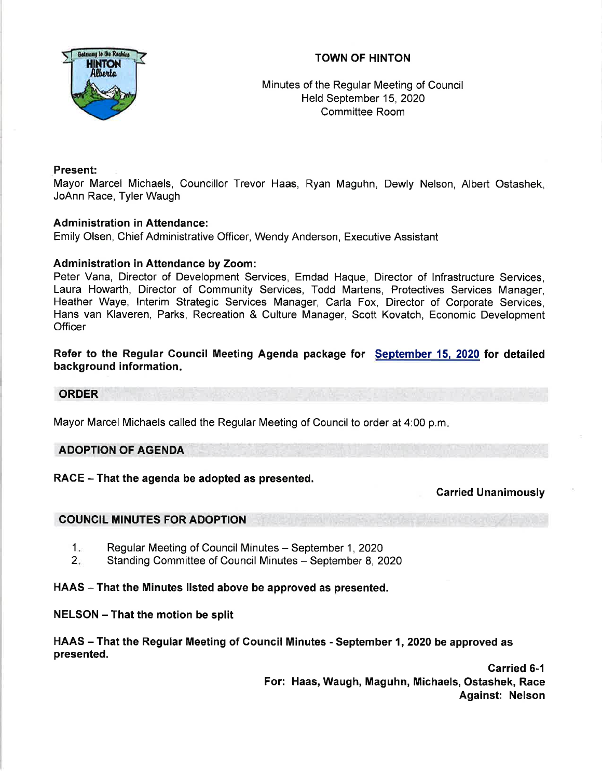# TOWN OF HINTON



Minutes of the Regular Meeting of Council Held September 15,2020 Committee Room

## Present:

Mayor Marcel Michaels, Councillor Trevor Haas, Ryan Maguhn, Dewly Nelson, Albert Ostashek, JoAnn Race, Tyler Waugh

### Administration in Attendance:

Emily Olsen, Chief Administrative Officer, Wendy Anderson, Executive Assistant

### Administration in Attendance by Zoom:

Peter Vana, Director of Development Services, Emdad Haque, Director of lnfrastructure Services, Laura Howarth, Director of Community Services, Todd Martens, Protectives Services Manager, Heather Waye, lnterim Strategic Services Manager, Carla Fox, Director of Corporate Services, Hans van Klaveren, Parks, Recreation & Culture Manager, Scott Kovatch, Economic Development **Officer** 

## Refer to the Regular Council Meeting Agenda package for September 15, 2020 for detailed background information.

### ORDER

Mayor Marcel Michaels called the Regular Meeting of Council to order at 4:00 p.m

## ADOPTION OF AGENDA

## RACE - That the agenda be adopted as presented.

Carried Unanimously

### COUNCIL MINUTES FOR ADOPTION

- Regular Meeting of Council Minutes September 1, 2020  $1.$
- Standing Committee of Council Minutes September 8, 2020  $2<sup>2</sup>$

### HAAS – That the Minutes listed above be approved as presented.

### NELSON - That the motion be split

HAAS – That the Regular Meeting of Council Minutes - September 1, 2020 be approved as presented.

> Carried 6-1 For: Haas, Waugh, Maguhn, Michaels, Ostashek, Race Against: Nelson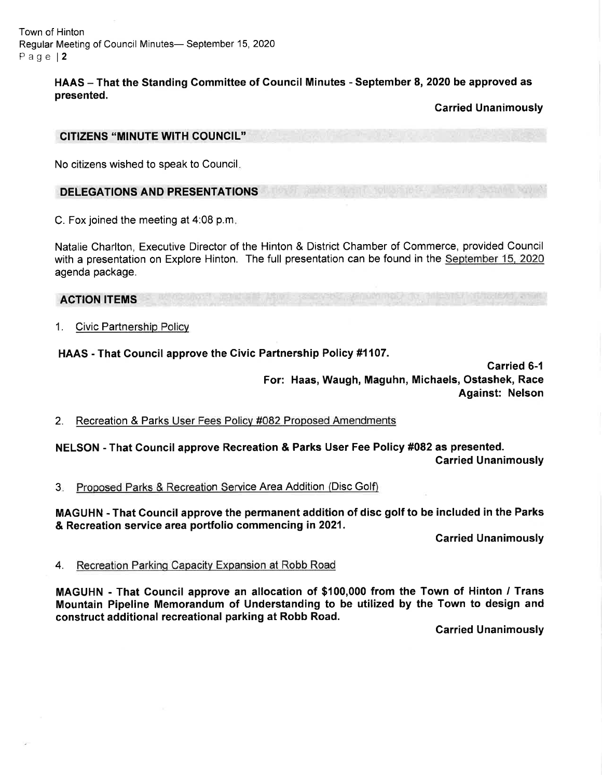Town of Hinton Regular Meeting of Council Minutes- September 15, 2020 Page l2

> HAAS - That the Standing Committee of Council Minutes - September 8, 2020 be approved as presented.

> > Garried Unanimously

#### CITIZENS "MINUTE WITH COUNCIL''

No citizens wished to speak to Council

### DELEGATIONS AND PRESENTATIONS

C. Fox joined the meeting at 4:08 p.m

Natalie Charlton, Executive Director of the Hinton & District Chamber of Commerce, provided Council with a presentation on Explore Hinton. The full presentation can be found in the September 15, 2020 agenda package.

### ACTION ITEMS

1. Civic Partnership Policy

### HAAS - That Gouncil approve the Givic Partnership Policy #1107.

Carried 6-1 For: Haas, Waugh, Maguhn, Michaels, Ostashek, Race Against: Nelson

2. Recreation & Parks User Fees Policv #082 Proposed Amendments

NELSON - That Council approve Recreation & Parks User Fee Policy #082 as presented. Garried Unanimously

Proposed Parks & Recreation Service Area Addition (Disc Golf)  $3<sub>ii</sub>$ 

MAGUHN - That Council approve the permanent addition of disc golf to be included in the Parks & Recreation service area portfolio commencing in 2021.

Carried Unanimously

#### 4. Recreation Parking Capacitv Expansion at Robb Road

MAGUHN - That Gouncil approve an allocation of \$100,000 from the Town of Hinton / Trans Mountain Pipeline Memorandum of Understanding to be utilized by the Town to design and construct additional recreational parking at Robb Road.

Garried Unanimously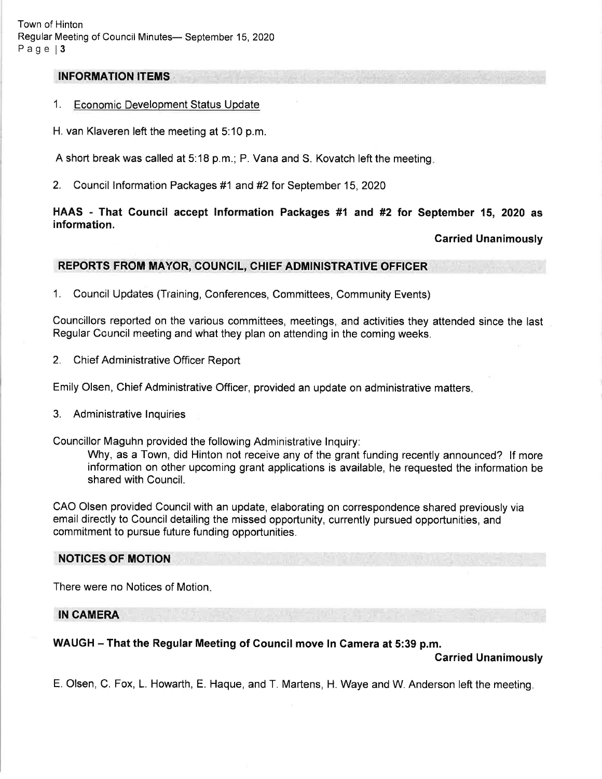## INFORMATION ITEMS

### 1. Economic Development Status Update

H. van Klaveren left the meeting at 5:10 p.m.

A short break was called at 5:18 p.m.; P. Vana and S. Kovatch left the meeting

2. Council Information Packages #1 and #2 for September 15, 2020

### HAAS - That Council accept Information Packages #1 and #2 for September 15, 2020 as information.

### Carried Unanimously

### REPORTS FROM MAYOR, COUNCIL, CHIEF ADMINISTRATIVE OFFICER

1. Council Updates (Training, Conferences, Committees, Community Events)

Councillors reported on the various committees, meetings, and activities they attended since the last Regular Council meeting and what they plan on attending in the coming weeks.

2. Chief Administrative Officer Report

Emily Olsen, Chief Administrative Officer, provided an update on administrative matters

3. Administrative lnquiries

Councillor Maguhn provided the following Administrative lnquiry:

Why, as a Town, did Hinton not receive any of the grant funding recently announced? lf more information on other upcoming grant applications is available, he requested the information be shared with Council.

CAO Olsen provided Council with an update, elaborating on correspondence shared previously via email directly to Council detailing the missed opportunity, currently pursued opportunities, and commitment to pursue future funding opportunities.

### NOTICES OF MOTION

There were no Notices of Motion

### IN CAMERA

## WAUGH - That the Regular Meeting of Council move In Camera at 5:39 p.m.

Garried Unanimously

E. Olsen, C. Fox, L. Howarth, E. Haque, and T. Martens, H. Waye and W. Anderson left the meeting.